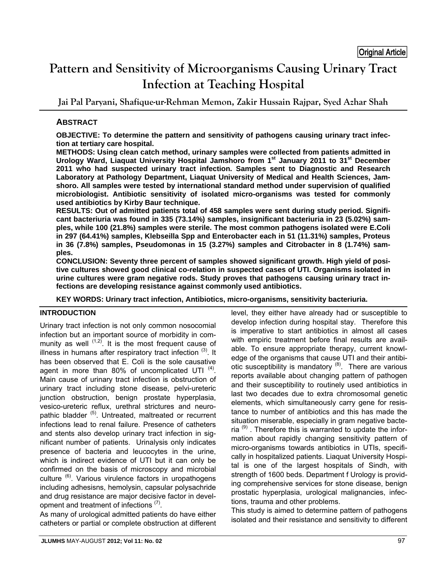# **Pattern and Sensitivity of Microorganisms Causing Urinary Tract Infection at Teaching Hospital**

**Jai Pal Paryani, Shafique-ur-Rehman Memon, Zakir Hussain Rajpar, Syed Azhar Shah** 

# **ABSTRACT**

**OBJECTIVE: To determine the pattern and sensitivity of pathogens causing urinary tract infection at tertiary care hospital.** 

**METHODS: Using clean catch method, urinary samples were collected from patients admitted in**  Urology Ward, Liaquat University Hospital Jamshoro from 1<sup>st</sup> January 2011 to 31<sup>st</sup> December **2011 who had suspected urinary tract infection. Samples sent to Diagnostic and Research Laboratory at Pathology Department, Liaquat University of Medical and Health Sciences, Jamshoro. All samples were tested by international standard method under supervision of qualified microbiologist. Antibiotic sensitivity of isolated micro-organisms was tested for commonly used antibiotics by Kirby Baur technique.** 

**RESULTS: Out of admitted patients total of 458 samples were sent during study period. Significant bacteriuria was found in 335 (73.14%) samples, insignificant bacteriuria in 23 (5.02%) samples, while 100 (21.8%) samples were sterile. The most common pathogens isolated were E.Coli in 297 (64.41%) samples, Klebseilla Spp and Enterobacter each in 51 (11.31%) samples, Proteus in 36 (7.8%) samples, Pseudomonas in 15 (3.27%) samples and Citrobacter in 8 (1.74%) samples.** 

**CONCLUSION: Seventy three percent of samples showed significant growth. High yield of positive cultures showed good clinical co-relation in suspected cases of UTI. Organisms isolated in urine cultures were gram negative rods. Study proves that pathogens causing urinary tract infections are developing resistance against commonly used antibiotics.** 

**KEY WORDS: Urinary tract infection, Antibiotics, micro-organisms, sensitivity bacteriuria.** 

### **INTRODUCTION**

Urinary tract infection is not only common nosocomial infection but an important source of morbidity in community as well  $(1,2)$ . It is the most frequent cause of illness in humans after respiratory tract infection  $(3)$ . It has been observed that E. Coli is the sole causative agent in more than 80% of uncomplicated UTI  $(4)$ . Main cause of urinary tract infection is obstruction of urinary tract including stone disease, pelvi-ureteric junction obstruction, benign prostate hyperplasia, vesico-ureteric reflux, urethral strictures and neuropathic bladder <sup>(5)</sup>. Untreated, maltreated or recurrent infections lead to renal failure. Presence of catheters and stents also develop urinary tract infection in significant number of patients. Urinalysis only indicates presence of bacteria and leucocytes in the urine, which is indirect evidence of UTI but it can only be confirmed on the basis of microscopy and microbial culture (6). Various virulence factors in uropathogens including adhesisns, hemolysin, capsular polysachride and drug resistance are major decisive factor in development and treatment of infections  $(7)$ .

As many of urological admitted patients do have either catheters or partial or complete obstruction at different level, they either have already had or susceptible to develop infection during hospital stay. Therefore this is imperative to start antibiotics in almost all cases with empiric treatment before final results are available. To ensure appropriate therapy, current knowledge of the organisms that cause UTI and their antibiotic susceptibility is mandatory  $(8)$ . There are various reports available about changing pattern of pathogen and their susceptibility to routinely used antibiotics in last two decades due to extra chromosomal genetic elements, which simultaneously carry gene for resistance to number of antibiotics and this has made the situation miserable, especially in gram negative bacteria  $(9)$ . Therefore this is warranted to update the information about rapidly changing sensitivity pattern of micro-organisms towards antibiotics in UTIs, specifically in hospitalized patients. Liaquat University Hospital is one of the largest hospitals of Sindh, with strength of 1600 beds. Department f Urology is providing comprehensive services for stone disease, benign prostatic hyperplasia, urological malignancies, infections, trauma and other problems.

This study is aimed to determine pattern of pathogens isolated and their resistance and sensitivity to different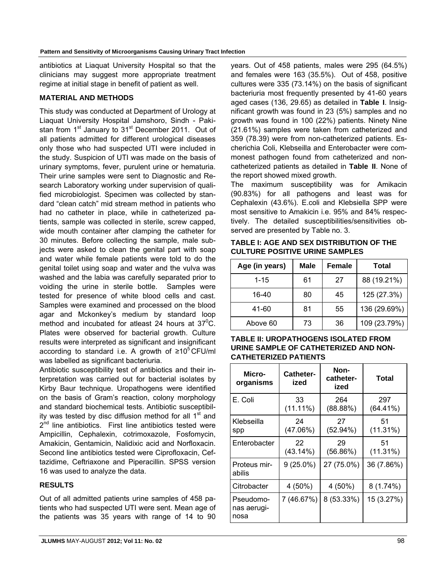antibiotics at Liaquat University Hospital so that the clinicians may suggest more appropriate treatment regime at initial stage in benefit of patient as well.

#### **MATERIAL AND METHODS**

This study was conducted at Department of Urology at Liaquat University Hospital Jamshoro, Sindh - Pakistan from 1<sup>st</sup> January to 31<sup>st</sup> December 2011. Out of all patients admitted for different urological diseases only those who had suspected UTI were included in the study. Suspicion of UTI was made on the basis of urinary symptoms, fever, purulent urine or hematuria. Their urine samples were sent to Diagnostic and Research Laboratory working under supervision of qualified microbiologist. Specimen was collected by standard "clean catch" mid stream method in patients who had no catheter in place, while in catheterized patients, sample was collected in sterile, screw capped, wide mouth container after clamping the catheter for 30 minutes. Before collecting the sample, male subjects were asked to clean the genital part with soap and water while female patients were told to do the genital toilet using soap and water and the vulva was washed and the labia was carefully separated prior to voiding the urine in sterile bottle. Samples were tested for presence of white blood cells and cast. Samples were examined and processed on the blood agar and Mckonkey's medium by standard loop method and incubated for atleast 24 hours at  $37^{\circ}$ C. Plates were observed for bacterial growth. Culture results were interpreted as significant and insignificant according to standard i.e. A growth of  $\geq 10^5$  CFU/ml was labelled as significant bacteriuria.

Antibiotic susceptibility test of antibiotics and their interpretation was carried out for bacterial isolates by Kirby Baur technique. Uropathogens were identified on the basis of Gram's reaction, colony morphology and standard biochemical tests. Antibiotic susceptibility was tested by disc diffusion method for all  $1<sup>st</sup>$  and  $2<sup>nd</sup>$  line antibiotics. First line antibiotics tested were Ampicillin, Cephalexin, cotrimoxazole, Fosfomycin, Amakicin, Gentamicin, Nalidixic acid and Norfloxacin. Second line antibiotics tested were Ciprofloxacin, Ceftazidime, Ceftriaxone and Piperacillin. SPSS version 16 was used to analyze the data.

#### **RESULTS**

Out of all admitted patients urine samples of 458 patients who had suspected UTI were sent. Mean age of the patients was 35 years with range of 14 to 90 years. Out of 458 patients, males were 295 (64.5%) and females were 163 (35.5%). Out of 458, positive cultures were 335 (73.14%) on the basis of significant bacteriuria most frequently presented by 41-60 years aged cases (136, 29.65) as detailed in **Table I**. Insignificant growth was found in 23 (5%) samples and no growth was found in 100 (22%) patients. Ninety Nine (21.61%) samples were taken from catheterized and 359 (78.39) were from non-catheterized patients. Escherichia Coli, Klebseilla and Enterobacter were commonest pathogen found from catheterized and noncatheterized patients as detailed in **Table II**. None of the report showed mixed growth.

The maximum susceptibility was for Amikacin (90.83%) for all pathogens and least was for Cephalexin (43.6%). E.coli and Klebsiella SPP were most sensitive to Amakicin i.e. 95% and 84% respectively. The detailed susceptibilities/sensitivities observed are presented by Table no. 3.

**TABLE I: AGE AND SEX DISTRIBUTION OF THE CULTURE POSITIVE URINE SAMPLES**

| Age (in years) | Male | <b>Female</b> | <b>Total</b> |  |  |  |
|----------------|------|---------------|--------------|--|--|--|
| $1 - 15$       | 61   | 27            | 88 (19.21%)  |  |  |  |
| 16-40          | 80   | 45            | 125 (27.3%)  |  |  |  |
| 41-60          | 81   | 55            | 136 (29.69%) |  |  |  |
| Above 60       | 73   | 36            | 109 (23.79%) |  |  |  |

**TABLE II: UROPATHOGENS ISOLATED FROM URINE SAMPLE OF CATHETERIZED AND NON-CATHETERIZED PATIENTS**

| Micro-<br>organisms              | <b>Catheter-</b><br>ized | Non-<br>catheter-<br>ized | Total              |  |  |  |
|----------------------------------|--------------------------|---------------------------|--------------------|--|--|--|
| E. Coli                          | 33<br>$(11.11\%)$        | 264<br>(88.88%)           | 297<br>$(64.41\%)$ |  |  |  |
| Klebseilla<br>spp                | 24<br>(47.06%)           | 27<br>(52.94%)            | 51<br>(11.31%)     |  |  |  |
| Enterobacter                     | 22<br>(43.14%)           | 29<br>(56.86%)            | 51<br>(11.31%)     |  |  |  |
| Proteus mir-<br>abilis           | $9(25.0\%)$              | 27 (75.0%)                | 36 (7.86%)         |  |  |  |
| Citrobacter                      | 4 (50%)                  | 4 (50%)                   | $8(1.74\%)$        |  |  |  |
| Pseudomo-<br>nas aerugi-<br>nosa | 7 (46.67%)               | 8 (53.33%)                | 15 (3.27%)         |  |  |  |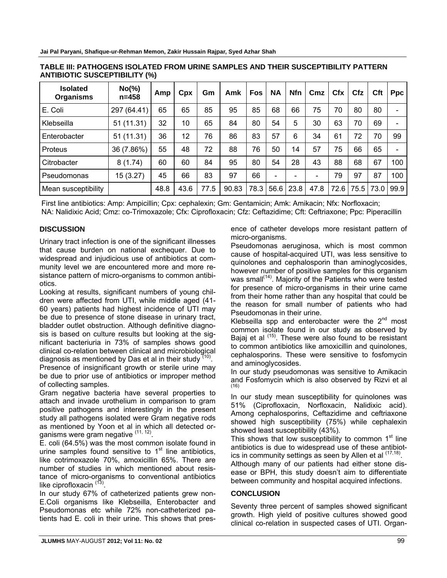| <b>Isolated</b><br><b>Organisms</b> | $No(\% )$<br>$n = 458$ | Amp  | Cpx  | Gm   | Amk   | <b>Fos</b> | <b>NA</b> | <b>Nfn</b> | Cmz  | <b>Cfx</b> | Cfz  | <b>Cft</b> | <b>Ppc</b> |
|-------------------------------------|------------------------|------|------|------|-------|------------|-----------|------------|------|------------|------|------------|------------|
| E. Coli                             | 297 (64.41)            | 65   | 65   | 85   | 95    | 85         | 68        | 66         | 75   | 70         | 80   | 80         |            |
| Klebseilla                          | 51 (11.31)             | 32   | 10   | 65   | 84    | 80         | 54        | 5          | 30   | 63         | 70   | 69         |            |
| Enterobacter                        | 51 (11.31)             | 36   | 12   | 76   | 86    | 83         | 57        | 6          | 34   | 61         | 72   | 70         | 99         |
| Proteus                             | 36 (7.86%)             | 55   | 48   | 72   | 88    | 76         | 50        | 14         | 57   | 75         | 66   | 65         |            |
| Citrobacter                         | 8(1.74)                | 60   | 60   | 84   | 95    | 80         | 54        | 28         | 43   | 88         | 68   | 67         | 100        |
| Pseudomonas                         | 15 (3.27)              | 45   | 66   | 83   | 97    | 66         |           |            |      | 79         | 97   | 87         | 100        |
| Mean susceptibility                 |                        | 48.8 | 43.6 | 77.5 | 90.83 | 78.3       | 56.6      | 23.8       | 47.8 | 72.6       | 75.5 | 73.0       | 99.9       |

**TABLE III: PATHOGENS ISOLATED FROM URINE SAMPLES AND THEIR SUSCEPTIBILITY PATTERN ANTIBIOTIC SUSCEPTIBILITY (%)**

First line antibiotics: Amp: Ampicillin; Cpx: cephalexin; Gm: Gentamicin; Amk: Amikacin; Nfx: Norfloxacin; NA: Nalidixic Acid; Cmz: co-Trimoxazole; Cfx: Ciprofloxacin; Cfz: Ceftazidime; Cft: Ceftriaxone; Ppc: Piperacillin

### **DISCUSSION**

Urinary tract infection is one of the significant illnesses that cause burden on national exchequer. Due to widespread and injudicious use of antibiotics at community level we are encountered more and more resistance pattern of micro-organisms to common antibiotics.

Looking at results, significant numbers of young children were affected from UTI, while middle aged (41- 60 years) patients had highest incidence of UTI may be due to presence of stone disease in urinary tract, bladder outlet obstruction. Although definitive diagnosis is based on culture results but looking at the significant bacteriuria in 73% of samples shows good clinical co-relation between clinical and microbiological diagnosis as mentioned by Das et al in their study  $(10)$ .

Presence of insignificant growth or sterile urine may be due to prior use of antibiotics or improper method of collecting samples.

Gram negative bacteria have several properties to attach and invade urothelium in comparison to gram positive pathogens and interestingly in the present study all pathogens isolated were Gram negative rods as mentioned by Yoon et al in which all detected organisms were gram negative (11, 12).

E. coli (64.5%) was the most common isolate found in urine samples found sensitive to  $1<sup>st</sup>$  line antibiotics, like cotrimoxazole 70%, amoxicillin 65%. There are number of studies in which mentioned about resistance of micro-organisms to conventional antibiotics like ciprofloxacin  $(13)$ .

In our study 67% of catheterized patients grew non-E.Coli organisms like Klebseilla, Enterobacter and Pseudomonas etc while 72% non-catheterized patients had E. coli in their urine. This shows that presence of catheter develops more resistant pattern of micro-organisms.

Pseudomonas aeruginosa, which is most common cause of hospital-acquired UTI, was less sensitive to quinolones and cephalosporin than aminoglycosides, however number of positive samples for this organism was small<sup>(14)</sup>. Majority of the Patients who were tested for presence of micro-organisms in their urine came from their home rather than any hospital that could be the reason for small number of patients who had Pseudomonas in their urine.

Klebseilla spp and enterobacter were the  $2^{nd}$  most common isolate found in our study as observed by Bajaj et al <sup>(15)</sup>. These were also found to be resistant to common antibiotics like amoxicillin and quinolones, cephalosporins. These were sensitive to fosfomycin and aminoglycosides.

In our study pseudomonas was sensitive to Amikacin and Fosfomycin which is also observed by Rizvi et al (16)

In our study mean susceptibility for quinolones was 51% (Ciprofloxacin, Norfloxacin, Nalidixic acid). Among cephalosporins, Ceftazidime and ceftriaxone showed high susceptibility (75%) while cephalexin showed least susceptibility (43%).

This shows that low susceptibility to common  $1<sup>st</sup>$  line antibiotics is due to widespread use of these antibiotics in community settings as seen by Allen et al  $(17,18)$ .

Although many of our patients had either stone disease or BPH, this study doesn't aim to differentiate between community and hospital acquired infections.

#### **CONCLUSION**

Seventy three percent of samples showed significant growth. High yield of positive cultures showed good clinical co-relation in suspected cases of UTI. Organ